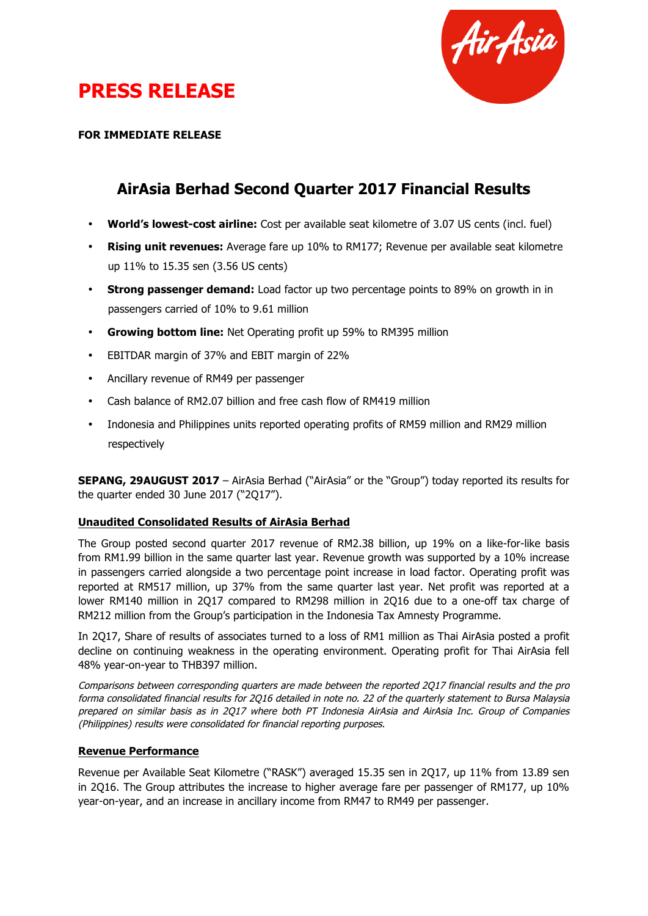

# **PRESS RELEASE**

**FOR IMMEDIATE RELEASE**

### **AirAsia Berhad Second Quarter 2017 Financial Results**

- **World's lowest-cost airline:** Cost per available seat kilometre of 3.07 US cents (incl. fuel)
- **Rising unit revenues:** Average fare up 10% to RM177; Revenue per available seat kilometre up 11% to 15.35 sen (3.56 US cents)
- **Strong passenger demand:** Load factor up two percentage points to 89% on growth in in passengers carried of 10% to 9.61 million
- **Growing bottom line:** Net Operating profit up 59% to RM395 million
- EBITDAR margin of 37% and EBIT margin of 22%
- Ancillary revenue of RM49 per passenger
- Cash balance of RM2.07 billion and free cash flow of RM419 million
- Indonesia and Philippines units reported operating profits of RM59 million and RM29 million respectively

**SEPANG, 29AUGUST 2017** – AirAsia Berhad ("AirAsia" or the "Group") today reported its results for the quarter ended 30 June 2017 ("2Q17").

#### **Unaudited Consolidated Results of AirAsia Berhad**

The Group posted second quarter 2017 revenue of RM2.38 billion, up 19% on a like-for-like basis from RM1.99 billion in the same quarter last year. Revenue growth was supported by a 10% increase in passengers carried alongside a two percentage point increase in load factor. Operating profit was reported at RM517 million, up 37% from the same quarter last year. Net profit was reported at a lower RM140 million in 2Q17 compared to RM298 million in 2Q16 due to a one-off tax charge of RM212 million from the Group's participation in the Indonesia Tax Amnesty Programme.

In 2Q17, Share of results of associates turned to a loss of RM1 million as Thai AirAsia posted a profit decline on continuing weakness in the operating environment. Operating profit for Thai AirAsia fell 48% year-on-year to THB397 million.

Comparisons between corresponding quarters are made between the reported 2Q17 financial results and the pro forma consolidated financial results for 2Q16 detailed in note no. 22 of the quarterly statement to Bursa Malaysia prepared on similar basis as in 2Q17 where both PT Indonesia AirAsia and AirAsia Inc. Group of Companies (Philippines) results were consolidated for financial reporting purposes.

#### **Revenue Performance**

Revenue per Available Seat Kilometre ("RASK") averaged 15.35 sen in 2Q17, up 11% from 13.89 sen in 2Q16. The Group attributes the increase to higher average fare per passenger of RM177, up 10% year-on-year, and an increase in ancillary income from RM47 to RM49 per passenger.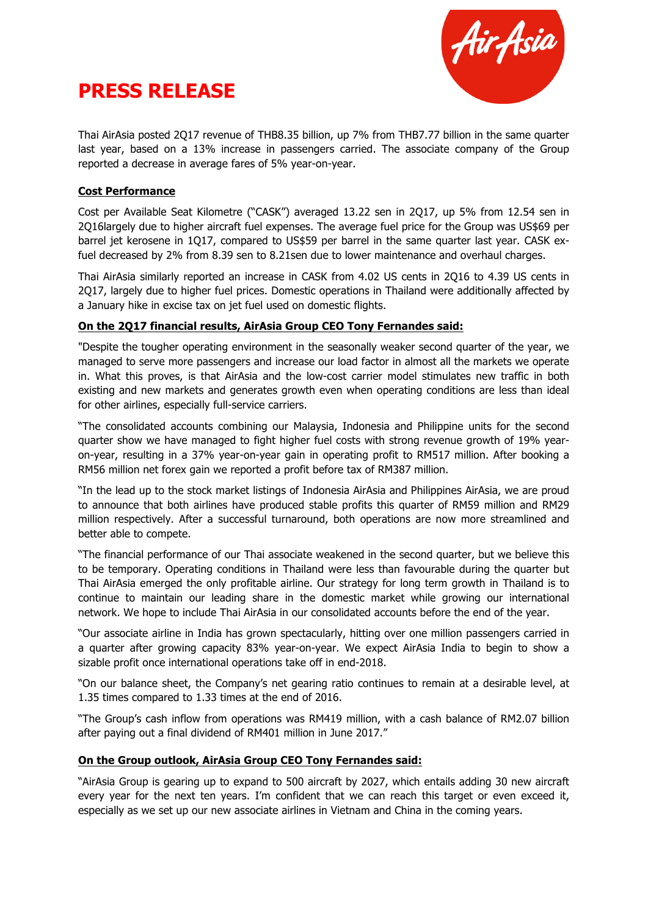



Thai AirAsia posted 2Q17 revenue of THB8.35 billion, up 7% from THB7.77 billion in the same quarter last year, based on a 13% increase in passengers carried. The associate company of the Group reported a decrease in average fares of 5% year-on-year.

#### **Cost Performance**

Cost per Available Seat Kilometre ("CASK") averaged 13.22 sen in 2Q17, up 5% from 12.54 sen in 2Q16largely due to higher aircraft fuel expenses. The average fuel price for the Group was US\$69 per barrel jet kerosene in 1Q17, compared to US\$59 per barrel in the same quarter last year. CASK exfuel decreased by 2% from 8.39 sen to 8.21sen due to lower maintenance and overhaul charges.

Thai AirAsia similarly reported an increase in CASK from 4.02 US cents in 2Q16 to 4.39 US cents in 2Q17, largely due to higher fuel prices. Domestic operations in Thailand were additionally affected by a January hike in excise tax on jet fuel used on domestic flights.

#### **On the 2Q17 financial results, AirAsia Group CEO Tony Fernandes said:**

"Despite the tougher operating environment in the seasonally weaker second quarter of the year, we managed to serve more passengers and increase our load factor in almost all the markets we operate in. What this proves, is that AirAsia and the low-cost carrier model stimulates new traffic in both existing and new markets and generates growth even when operating conditions are less than ideal for other airlines, especially full-service carriers.

"The consolidated accounts combining our Malaysia, Indonesia and Philippine units for the second quarter show we have managed to fight higher fuel costs with strong revenue growth of 19% yearon-year, resulting in a 37% year-on-year gain in operating profit to RM517 million. After booking a RM56 million net forex gain we reported a profit before tax of RM387 million.

"In the lead up to the stock market listings of Indonesia AirAsia and Philippines AirAsia, we are proud to announce that both airlines have produced stable profits this quarter of RM59 million and RM29 million respectively. After a successful turnaround, both operations are now more streamlined and better able to compete.

"The financial performance of our Thai associate weakened in the second quarter, but we believe this to be temporary. Operating conditions in Thailand were less than favourable during the quarter but Thai AirAsia emerged the only profitable airline. Our strategy for long term growth in Thailand is to continue to maintain our leading share in the domestic market while growing our international network. We hope to include Thai AirAsia in our consolidated accounts before the end of the year.

"Our associate airline in India has grown spectacularly, hitting over one million passengers carried in a quarter after growing capacity 83% year-on-year. We expect AirAsia India to begin to show a sizable profit once international operations take off in end-2018.

"On our balance sheet, the Company's net gearing ratio continues to remain at a desirable level, at 1.35 times compared to 1.33 times at the end of 2016.

"The Group's cash inflow from operations was RM419 million, with a cash balance of RM2.07 billion after paying out a final dividend of RM401 million in June 2017."

#### **On the Group outlook, AirAsia Group CEO Tony Fernandes said:**

"AirAsia Group is gearing up to expand to 500 aircraft by 2027, which entails adding 30 new aircraft every year for the next ten years. I'm confident that we can reach this target or even exceed it, especially as we set up our new associate airlines in Vietnam and China in the coming years.